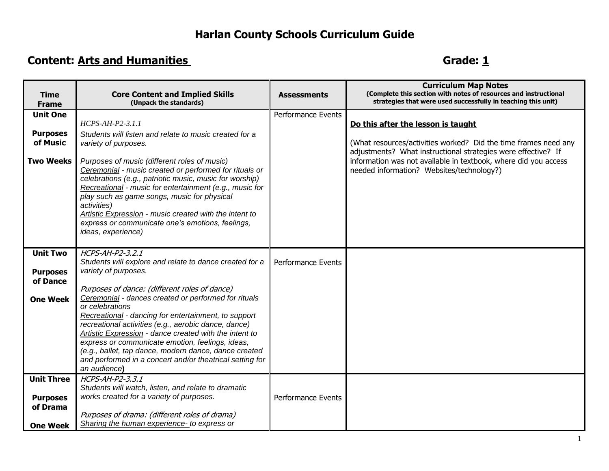## **Harlan County Schools Curriculum Guide**

## **Content:** Arts and Humanities **Content:** Arts and Humanities **Grade:** 1

| <b>Time</b><br><b>Frame</b>                      | <b>Core Content and Implied Skills</b><br>(Unpack the standards)                                                                                                                                                                                                                                                                                                                                                                                                                            | <b>Assessments</b>        | <b>Curriculum Map Notes</b><br>(Complete this section with notes of resources and instructional<br>strategies that were used successfully in teaching this unit) |
|--------------------------------------------------|---------------------------------------------------------------------------------------------------------------------------------------------------------------------------------------------------------------------------------------------------------------------------------------------------------------------------------------------------------------------------------------------------------------------------------------------------------------------------------------------|---------------------------|------------------------------------------------------------------------------------------------------------------------------------------------------------------|
| <b>Unit One</b>                                  |                                                                                                                                                                                                                                                                                                                                                                                                                                                                                             | Performance Events        |                                                                                                                                                                  |
|                                                  | $HCPS-AH-P2-3.1.1$                                                                                                                                                                                                                                                                                                                                                                                                                                                                          |                           | Do this after the lesson is taught                                                                                                                               |
| <b>Purposes</b><br>of Music                      | Students will listen and relate to music created for a                                                                                                                                                                                                                                                                                                                                                                                                                                      |                           |                                                                                                                                                                  |
|                                                  | variety of purposes.                                                                                                                                                                                                                                                                                                                                                                                                                                                                        |                           | (What resources/activities worked? Did the time frames need any<br>adjustments? What instructional strategies were effective? If                                 |
| <b>Two Weeks</b>                                 | Purposes of music (different roles of music)<br>Ceremonial - music created or performed for rituals or<br>celebrations (e.g., patriotic music, music for worship)<br>Recreational - music for entertainment (e.g., music for<br>play such as game songs, music for physical<br>activities)<br>Artistic Expression - music created with the intent to<br>express or communicate one's emotions, feelings,<br>ideas, experience)                                                              |                           | information was not available in textbook, where did you access<br>needed information? Websites/technology?)                                                     |
| <b>Unit Two</b>                                  | HCPS-AH-P2-3,2,1<br>Students will explore and relate to dance created for a                                                                                                                                                                                                                                                                                                                                                                                                                 | Performance Events        |                                                                                                                                                                  |
| <b>Purposes</b>                                  | variety of purposes.                                                                                                                                                                                                                                                                                                                                                                                                                                                                        |                           |                                                                                                                                                                  |
| of Dance                                         |                                                                                                                                                                                                                                                                                                                                                                                                                                                                                             |                           |                                                                                                                                                                  |
| <b>One Week</b>                                  | Purposes of dance: (different roles of dance)<br>Ceremonial - dances created or performed for rituals<br>or celebrations<br>Recreational - dancing for entertainment, to support<br>recreational activities (e.g., aerobic dance, dance)<br>Artistic Expression - dance created with the intent to<br>express or communicate emotion, feelings, ideas,<br>(e.g., ballet, tap dance, modern dance, dance created<br>and performed in a concert and/or theatrical setting for<br>an audience) |                           |                                                                                                                                                                  |
| <b>Unit Three</b><br><b>Purposes</b><br>of Drama | HCPS-AH-P2-3.3.1<br>Students will watch, listen, and relate to dramatic<br>works created for a variety of purposes.<br>Purposes of drama: (different roles of drama)                                                                                                                                                                                                                                                                                                                        | <b>Performance Events</b> |                                                                                                                                                                  |
| <b>One Week</b>                                  | Sharing the human experience- to express or                                                                                                                                                                                                                                                                                                                                                                                                                                                 |                           |                                                                                                                                                                  |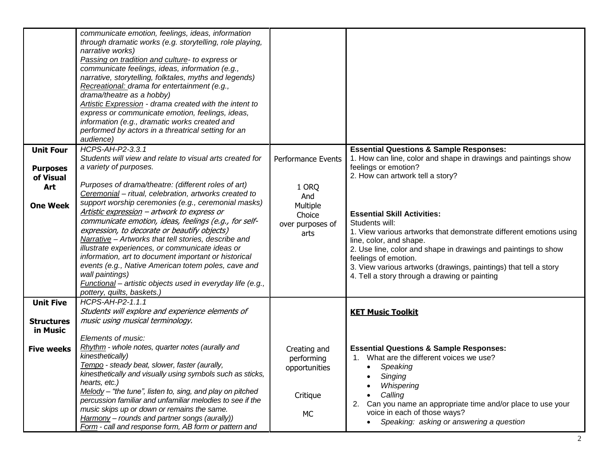| <b>Unit Four</b><br><b>Purposes</b><br>of Visual<br>Art<br><b>One Week</b> | communicate emotion, feelings, ideas, information<br>through dramatic works (e.g. storytelling, role playing,<br>narrative works)<br>Passing on tradition and culture- to express or<br>communicate feelings, ideas, information (e.g.,<br>narrative, storytelling, folktales, myths and legends)<br>Recreational: drama for entertainment (e.g.,<br>drama/theatre as a hobby)<br>Artistic Expression - drama created with the intent to<br>express or communicate emotion, feelings, ideas,<br>information (e.g., dramatic works created and<br>performed by actors in a threatrical setting for an<br>audience)<br>HCPS-AH-P2-3.3.1<br>Students will view and relate to visual arts created for<br>a variety of purposes.<br>Purposes of drama/theatre: (different roles of art)<br>Ceremonial - ritual, celebration, artworks created to<br>support worship ceremonies (e.g., ceremonial masks)<br>Artistic expression - artwork to express or<br>communicate emotion, ideas, feelings (e.g., for self-<br>expression, to decorate or beautify objects)<br>Narrative - Artworks that tell stories, describe and<br>illustrate experiences, or communicate ideas or<br>information, art to document important or historical<br>events (e.g., Native American totem poles, cave and<br>wall paintings) | Performance Events<br>1 ORQ<br>And<br>Multiple<br>Choice<br>over purposes of<br>arts | <b>Essential Questions &amp; Sample Responses:</b><br>1. How can line, color and shape in drawings and paintings show<br>feelings or emotion?<br>2. How can artwork tell a story?<br><b>Essential Skill Activities:</b><br>Students will:<br>1. View various artworks that demonstrate different emotions using<br>line, color, and shape.<br>2. Use line, color and shape in drawings and paintings to show<br>feelings of emotion.<br>3. View various artworks (drawings, paintings) that tell a story<br>4. Tell a story through a drawing or painting |
|----------------------------------------------------------------------------|---------------------------------------------------------------------------------------------------------------------------------------------------------------------------------------------------------------------------------------------------------------------------------------------------------------------------------------------------------------------------------------------------------------------------------------------------------------------------------------------------------------------------------------------------------------------------------------------------------------------------------------------------------------------------------------------------------------------------------------------------------------------------------------------------------------------------------------------------------------------------------------------------------------------------------------------------------------------------------------------------------------------------------------------------------------------------------------------------------------------------------------------------------------------------------------------------------------------------------------------------------------------------------------------------------|--------------------------------------------------------------------------------------|-----------------------------------------------------------------------------------------------------------------------------------------------------------------------------------------------------------------------------------------------------------------------------------------------------------------------------------------------------------------------------------------------------------------------------------------------------------------------------------------------------------------------------------------------------------|
|                                                                            | Functional - artistic objects used in everyday life (e.g.,<br>pottery, quilts, baskets.)                                                                                                                                                                                                                                                                                                                                                                                                                                                                                                                                                                                                                                                                                                                                                                                                                                                                                                                                                                                                                                                                                                                                                                                                                |                                                                                      |                                                                                                                                                                                                                                                                                                                                                                                                                                                                                                                                                           |
| <b>Unit Five</b><br><b>Structures</b><br>in Music                          | HCPS-AH-P2-1.1.1<br>Students will explore and experience elements of<br>music using musical terminology.                                                                                                                                                                                                                                                                                                                                                                                                                                                                                                                                                                                                                                                                                                                                                                                                                                                                                                                                                                                                                                                                                                                                                                                                |                                                                                      | <b>KET Music Toolkit</b>                                                                                                                                                                                                                                                                                                                                                                                                                                                                                                                                  |
| <b>Five weeks</b>                                                          | Elements of music:<br>Rhythm - whole notes, quarter notes (aurally and<br>kinesthetically)<br>Tempo - steady beat, slower, faster (aurally,<br>kinesthetically and visually using symbols such as sticks,<br>hearts, etc.)                                                                                                                                                                                                                                                                                                                                                                                                                                                                                                                                                                                                                                                                                                                                                                                                                                                                                                                                                                                                                                                                              | Creating and<br>performing<br>opportunities                                          | <b>Essential Questions &amp; Sample Responses:</b><br>1. What are the different voices we use?<br>Speaking<br>$\bullet$<br>Singing<br>Whispering                                                                                                                                                                                                                                                                                                                                                                                                          |
|                                                                            | $Melody$ – "the tune", listen to, sing, and play on pitched<br>percussion familiar and unfamiliar melodies to see if the<br>music skips up or down or remains the same.<br>Harmony - rounds and partner songs (aurally))<br>Form - call and response form, AB form or pattern and                                                                                                                                                                                                                                                                                                                                                                                                                                                                                                                                                                                                                                                                                                                                                                                                                                                                                                                                                                                                                       | Critique<br>МC                                                                       | Calling<br>2. Can you name an appropriate time and/or place to use your<br>voice in each of those ways?<br>Speaking: asking or answering a question                                                                                                                                                                                                                                                                                                                                                                                                       |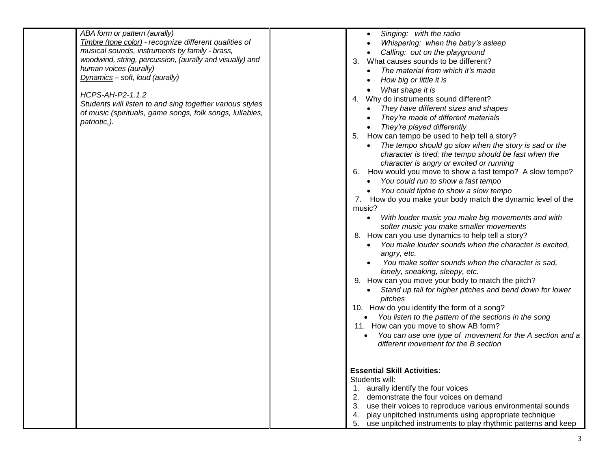| ABA form or pattern (aurally)<br>Timbre (tone color) - recognize different qualities of<br>musical sounds, instruments by family - brass,<br>woodwind, string, percussion, (aurally and visually) and<br>human voices (aurally)<br>Dynamics - soft, loud (aurally)<br>HCPS-AH-P2-1.1.2<br>Students will listen to and sing together various styles<br>of music (spirituals, game songs, folk songs, lullabies,<br>patriotic,). | Singing: with the radio<br>Whispering: when the baby's asleep<br>Calling: out on the playground<br>3. What causes sounds to be different?<br>The material from which it's made<br>How big or little it is<br>What shape it is<br>4. Why do instruments sound different?<br>They have different sizes and shapes<br>They're made of different materials<br>• They're played differently<br>5. How can tempo be used to help tell a story?<br>The tempo should go slow when the story is sad or the<br>character is tired; the tempo should be fast when the<br>character is angry or excited or running<br>6. How would you move to show a fast tempo? A slow tempo?<br>You could run to show a fast tempo<br>You could tiptoe to show a slow tempo<br>7. How do you make your body match the dynamic level of the<br>music?<br>With louder music you make big movements and with<br>softer music you make smaller movements<br>8. How can you use dynamics to help tell a story?<br>You make louder sounds when the character is excited,<br>angry, etc.<br>You make softer sounds when the character is sad,<br>lonely, sneaking, sleepy, etc.<br>9. How can you move your body to match the pitch?<br>Stand up tall for higher pitches and bend down for lower<br>pitches<br>10. How do you identify the form of a song?<br>• You listen to the pattern of the sections in the song<br>11. How can you move to show AB form?<br>You can use one type of movement for the A section and a<br>$\bullet$<br>different movement for the B section |
|--------------------------------------------------------------------------------------------------------------------------------------------------------------------------------------------------------------------------------------------------------------------------------------------------------------------------------------------------------------------------------------------------------------------------------|-------------------------------------------------------------------------------------------------------------------------------------------------------------------------------------------------------------------------------------------------------------------------------------------------------------------------------------------------------------------------------------------------------------------------------------------------------------------------------------------------------------------------------------------------------------------------------------------------------------------------------------------------------------------------------------------------------------------------------------------------------------------------------------------------------------------------------------------------------------------------------------------------------------------------------------------------------------------------------------------------------------------------------------------------------------------------------------------------------------------------------------------------------------------------------------------------------------------------------------------------------------------------------------------------------------------------------------------------------------------------------------------------------------------------------------------------------------------------------------------------------------------------------------------------|
|                                                                                                                                                                                                                                                                                                                                                                                                                                | <b>Essential Skill Activities:</b><br>Students will:<br>1. aurally identify the four voices<br>2. demonstrate the four voices on demand<br>use their voices to reproduce various environmental sounds<br>play unpitched instruments using appropriate technique<br>4.<br>5. use unpitched instruments to play rhythmic patterns and keep                                                                                                                                                                                                                                                                                                                                                                                                                                                                                                                                                                                                                                                                                                                                                                                                                                                                                                                                                                                                                                                                                                                                                                                                        |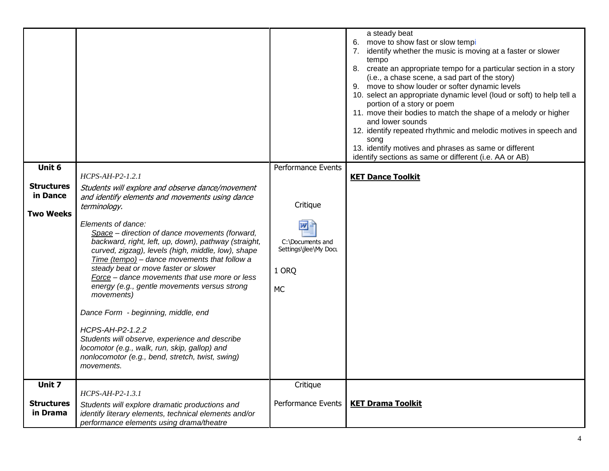| Unit 6<br><b>Structures</b><br>in Dance<br>Two Weeks | $HCPS-AH-P2-1.2.1$<br>Students will explore and observe dance/movement<br>and identify elements and movements using dance<br>terminology.<br>Elements of dance:<br>Space - direction of dance movements (forward,<br>backward, right, left, up, down), pathway (straight,<br>curved, zigzag), levels (high, middle, low), shape<br>Time (tempo) - dance movements that follow a<br>steady beat or move faster or slower<br>Force - dance movements that use more or less<br>energy (e.g., gentle movements versus strong<br>movements)<br>Dance Form - beginning, middle, end | <b>Performance Events</b><br>Critique<br>C:\Documents and<br>Settings\jlee\My Docu<br>1 ORQ<br><b>MC</b> | a steady beat<br>6. move to show fast or slow tempi<br>identify whether the music is moving at a faster or slower<br>7.<br>tempo<br>8. create an appropriate tempo for a particular section in a story<br>(i.e., a chase scene, a sad part of the story)<br>9. move to show louder or softer dynamic levels<br>10. select an appropriate dynamic level (loud or soft) to help tell a<br>portion of a story or poem<br>11. move their bodies to match the shape of a melody or higher<br>and lower sounds<br>12. identify repeated rhythmic and melodic motives in speech and<br>song<br>13. identify motives and phrases as same or different<br>identify sections as same or different (i.e. AA or AB)<br><b>KET Dance Toolkit</b> |
|------------------------------------------------------|-------------------------------------------------------------------------------------------------------------------------------------------------------------------------------------------------------------------------------------------------------------------------------------------------------------------------------------------------------------------------------------------------------------------------------------------------------------------------------------------------------------------------------------------------------------------------------|----------------------------------------------------------------------------------------------------------|-------------------------------------------------------------------------------------------------------------------------------------------------------------------------------------------------------------------------------------------------------------------------------------------------------------------------------------------------------------------------------------------------------------------------------------------------------------------------------------------------------------------------------------------------------------------------------------------------------------------------------------------------------------------------------------------------------------------------------------|
|                                                      | HCPS-AH-P2-1.2.2<br>Students will observe, experience and describe<br>locomotor (e.g., walk, run, skip, gallop) and<br>nonlocomotor (e.g., bend, stretch, twist, swing)<br>movements.                                                                                                                                                                                                                                                                                                                                                                                         |                                                                                                          |                                                                                                                                                                                                                                                                                                                                                                                                                                                                                                                                                                                                                                                                                                                                     |
| Unit 7<br>Structures<br>in Drama                     | $HCPS-AH-P2-1.3.1$<br>Students will explore dramatic productions and<br>identify literary elements, technical elements and/or<br>performance elements using drama/theatre                                                                                                                                                                                                                                                                                                                                                                                                     | Critique<br><b>Performance Events</b>                                                                    | <b>KET Drama Toolkit</b>                                                                                                                                                                                                                                                                                                                                                                                                                                                                                                                                                                                                                                                                                                            |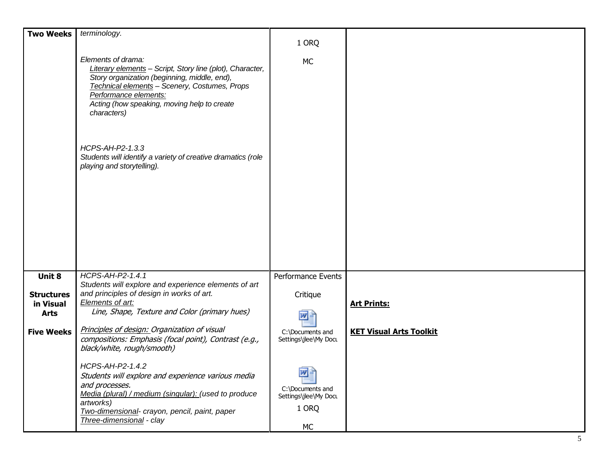| <b>Two Weeks</b>                              | terminology.                                                                                                                                                                                                                                                            |                                                               |                                |
|-----------------------------------------------|-------------------------------------------------------------------------------------------------------------------------------------------------------------------------------------------------------------------------------------------------------------------------|---------------------------------------------------------------|--------------------------------|
|                                               |                                                                                                                                                                                                                                                                         | 1 ORQ                                                         |                                |
|                                               | Elements of drama:<br>Literary elements - Script, Story line (plot), Character,<br>Story organization (beginning, middle, end),<br>Technical elements - Scenery, Costumes, Props<br>Performance elements:<br>Acting (how speaking, moving help to create<br>characters) | <b>MC</b>                                                     |                                |
|                                               | HCPS-AH-P2-1.3.3<br>Students will identify a variety of creative dramatics (role<br>playing and storytelling).                                                                                                                                                          |                                                               |                                |
| Unit 8                                        | HCPS-AH-P2-1.4.1                                                                                                                                                                                                                                                        | Performance Events                                            |                                |
| <b>Structures</b><br>in Visual<br><b>Arts</b> | Students will explore and experience elements of art<br>and principles of design in works of art.<br>Elements of art:<br>Line, Shape, Texture and Color (primary hues)                                                                                                  | Critique<br>™≝                                                | <b>Art Prints:</b>             |
| <b>Five Weeks</b>                             | Principles of design: Organization of visual<br>compositions: Emphasis (focal point), Contrast (e.g.,<br>black/white, rough/smooth)                                                                                                                                     | C:\Documents and<br>Settings\jlee\My Docu                     | <b>KET Visual Arts Toolkit</b> |
|                                               | HCPS-AH-P2-1.4.2<br>Students will explore and experience various media<br>and processes.<br>Media (plural) / medium (singular): (used to produce<br>artworks)<br>Two-dimensional- crayon, pencil, paint, paper<br>Three-dimensional - clay                              | 뻍<br>C:\Documents and<br>Settings\jlee\My Docu<br>1 ORQ<br>МC |                                |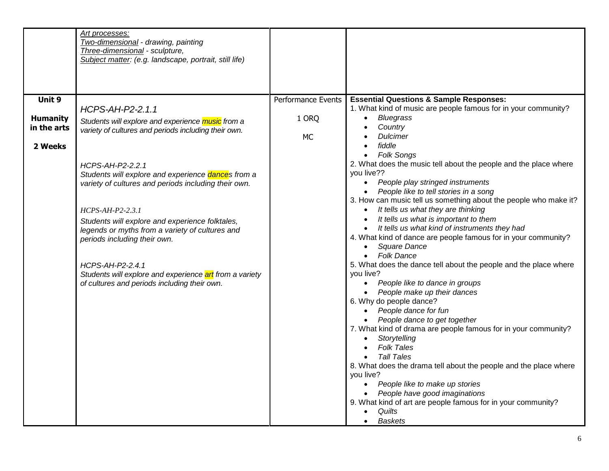|                 | Art processes:<br>Two-dimensional - drawing, painting                           |                    |                                                                                                                        |
|-----------------|---------------------------------------------------------------------------------|--------------------|------------------------------------------------------------------------------------------------------------------------|
|                 | Three-dimensional - sculpture,                                                  |                    |                                                                                                                        |
|                 | Subject matter: (e.g. landscape, portrait, still life)                          |                    |                                                                                                                        |
|                 |                                                                                 |                    |                                                                                                                        |
|                 |                                                                                 |                    |                                                                                                                        |
| Unit 9          | HCPS-AH-P2-2.1.1                                                                | Performance Events | <b>Essential Questions &amp; Sample Responses:</b><br>1. What kind of music are people famous for in your community?   |
| <b>Humanity</b> | Students will explore and experience music from a                               | 1 ORQ              | <b>Bluegrass</b><br>$\bullet$                                                                                          |
| in the arts     | variety of cultures and periods including their own.                            | <b>MC</b>          | Country<br><b>Dulcimer</b>                                                                                             |
| 2 Weeks         |                                                                                 |                    | fiddle<br>$\bullet$                                                                                                    |
|                 |                                                                                 |                    | <b>Folk Songs</b><br>$\bullet$                                                                                         |
|                 | HCPS-AH-P2-2.2.1<br>Students will explore and experience dances from a          |                    | 2. What does the music tell about the people and the place where<br>you live??                                         |
|                 | variety of cultures and periods including their own.                            |                    | People play stringed instruments<br>$\bullet$                                                                          |
|                 |                                                                                 |                    | People like to tell stories in a song<br>$\bullet$<br>3. How can music tell us something about the people who make it? |
|                 | $HCPS-AH-P2-2.3.1$                                                              |                    | It tells us what they are thinking<br>$\bullet$                                                                        |
|                 | Students will explore and experience folktales,                                 |                    | It tells us what is important to them                                                                                  |
|                 | legends or myths from a variety of cultures and<br>periods including their own. |                    | • It tells us what kind of instruments they had<br>4. What kind of dance are people famous for in your community?      |
|                 |                                                                                 |                    | Square Dance<br>$\bullet$                                                                                              |
|                 | HCPS-AH-P2-2.4.1                                                                |                    | <b>Folk Dance</b><br>$\bullet$<br>5. What does the dance tell about the people and the place where                     |
|                 | Students will explore and experience art from a variety                         |                    | you live?                                                                                                              |
|                 | of cultures and periods including their own.                                    |                    | People like to dance in groups                                                                                         |
|                 |                                                                                 |                    | People make up their dances<br>$\bullet$<br>6. Why do people dance?                                                    |
|                 |                                                                                 |                    | • People dance for fun                                                                                                 |
|                 |                                                                                 |                    | People dance to get together<br>7. What kind of drama are people famous for in your community?                         |
|                 |                                                                                 |                    | Storytelling<br>$\bullet$                                                                                              |
|                 |                                                                                 |                    | <b>Folk Tales</b>                                                                                                      |
|                 |                                                                                 |                    | <b>Tall Tales</b><br>8. What does the drama tell about the people and the place where                                  |
|                 |                                                                                 |                    | you live?                                                                                                              |
|                 |                                                                                 |                    | People like to make up stories<br>$\bullet$<br>People have good imaginations<br>$\bullet$                              |
|                 |                                                                                 |                    | 9. What kind of art are people famous for in your community?                                                           |
|                 |                                                                                 |                    | Quilts<br>$\bullet$                                                                                                    |
|                 |                                                                                 |                    | <b>Baskets</b><br>$\bullet$                                                                                            |